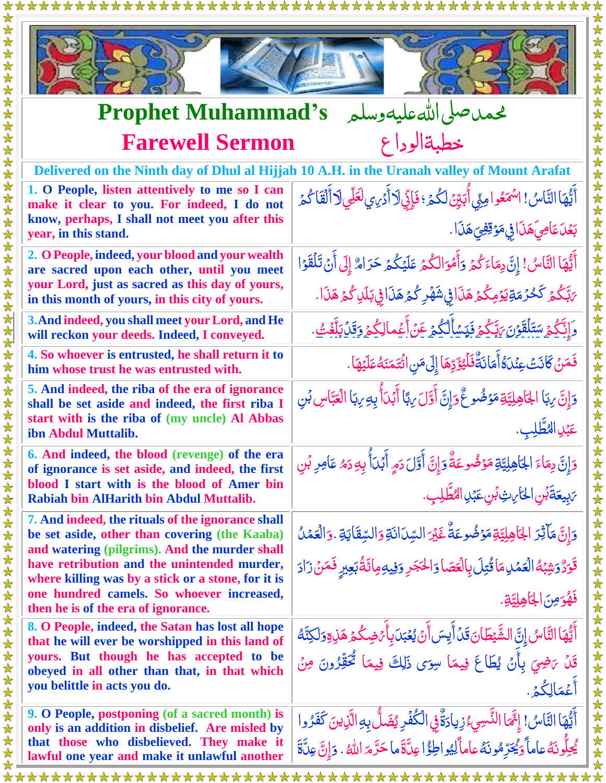

女女女女女女女女女女

法女女

安全:  $\bigstar$